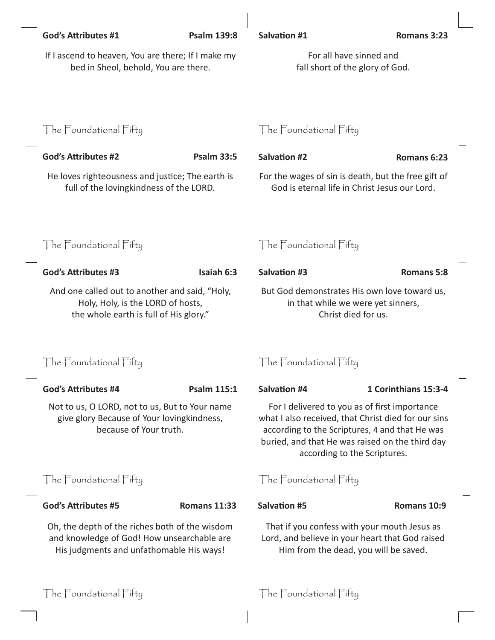| <b>God's Attributes #1</b>                                                                                                               | <b>Psalm 139:8</b>  | <b>Salvation #1</b>                                                                                                                                                                                                                       | Romans 3:23          |  |
|------------------------------------------------------------------------------------------------------------------------------------------|---------------------|-------------------------------------------------------------------------------------------------------------------------------------------------------------------------------------------------------------------------------------------|----------------------|--|
| If I ascend to heaven, You are there; If I make my<br>bed in Sheol, behold, You are there.                                               |                     | For all have sinned and<br>fall short of the glory of God.                                                                                                                                                                                |                      |  |
|                                                                                                                                          |                     |                                                                                                                                                                                                                                           |                      |  |
| The Foundational Fifty                                                                                                                   |                     | The Foundational Fifty                                                                                                                                                                                                                    |                      |  |
| <b>God's Attributes #2</b>                                                                                                               | <b>Psalm 33:5</b>   | <b>Salvation #2</b>                                                                                                                                                                                                                       | Romans 6:23          |  |
| He loves righteousness and justice; The earth is<br>full of the lovingkindness of the LORD.                                              |                     | For the wages of sin is death, but the free gift of<br>God is eternal life in Christ Jesus our Lord.                                                                                                                                      |                      |  |
| The Foundational Fifty                                                                                                                   |                     | The Foundational Fifty                                                                                                                                                                                                                    |                      |  |
| <b>God's Attributes #3</b>                                                                                                               | Isaiah 6:3          | <b>Salvation #3</b>                                                                                                                                                                                                                       | <b>Romans 5:8</b>    |  |
| And one called out to another and said, "Holy,<br>Holy, Holy, is the LORD of hosts,<br>the whole earth is full of His glory."            |                     | But God demonstrates His own love toward us,<br>in that while we were yet sinners,<br>Christ died for us.                                                                                                                                 |                      |  |
| The Foundational Fifty                                                                                                                   |                     | The Foundational Fifty                                                                                                                                                                                                                    |                      |  |
| <b>God's Attributes #4</b>                                                                                                               | <b>Psalm 115:1</b>  | <b>Salvation #4</b>                                                                                                                                                                                                                       | 1 Corinthians 15:3-4 |  |
| Not to us, O LORD, not to us, But to Your name<br>give glory Because of Your lovingkindness,<br>because of Your truth.                   |                     | For I delivered to you as of first importance<br>what I also received, that Christ died for our sins<br>according to the Scriptures, 4 and that He was<br>buried, and that He was raised on the third day<br>according to the Scriptures. |                      |  |
| The Foundational Fifty                                                                                                                   |                     | The Foundational Fifty                                                                                                                                                                                                                    |                      |  |
| <b>God's Attributes #5</b>                                                                                                               | <b>Romans 11:33</b> | <b>Salvation #5</b>                                                                                                                                                                                                                       | Romans 10:9          |  |
| Oh, the depth of the riches both of the wisdom<br>and knowledge of God! How unsearchable are<br>His judgments and unfathomable His ways! |                     | That if you confess with your mouth Jesus as<br>Lord, and believe in your heart that God raised<br>Him from the dead, you will be saved.                                                                                                  |                      |  |
| The Foundational Fifty                                                                                                                   |                     | The Foundational Fifty                                                                                                                                                                                                                    |                      |  |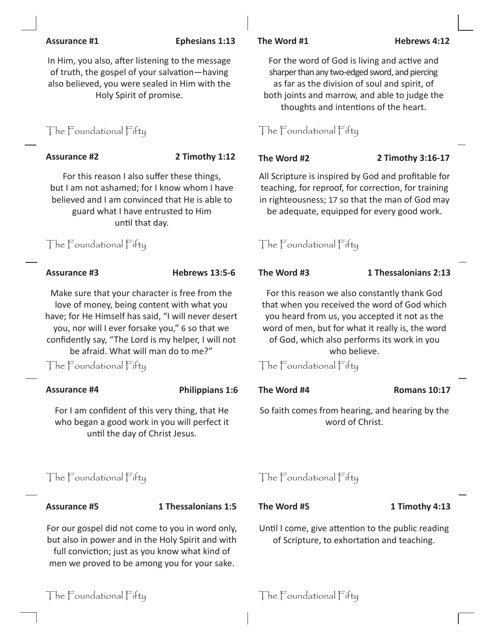### **Assurance #1 Ephesians 1:13 The Word #1 Hebrews 4:12**

In Him, you also, after listening to the message of truth, the gospel of your salvation—having also believed, you were sealed in Him with the Holy Spirit of promise.

# The Foundational Fifty The Foundational Fifty

For this reason I also suffer these things, but I am not ashamed; for I know whom I have believed and I am convinced that He is able to guard what I have entrusted to Him until that day.

The Foundational Fifty The Foundational Fifty

Make sure that your character is free from the love of money, being content with what you have; for He Himself has said, "I will never desert you, nor will I ever forsake you," 6 so that we confidently say, "The Lord is my helper, I will not be afraid. What will man do to me?"

The Foundational Fifty The Foundational Fifty

## **Assurance #4 Philippians 1:6 The Word #4 Romans 10:17**

For I am confident of this very thing, that He who began a good work in you will perfect it until the day of Christ Jesus.

# The Foundational Fifty The Foundational Fifty

**Assurance #5 1 Thessalonians 1:5 The Word #5 1 Timothy 4:13**

For our gospel did not come to you in word only, but also in power and in the Holy Spirit and with full conviction; just as you know what kind of men we proved to be among you for your sake.



**Assurance #2 2 Timothy 1:12 The Word #2 2 Timothy 3:16-17**

All Scripture is inspired by God and profitable for teaching, for reproof, for correction, for training in righteousness; 17 so that the man of God may be adequate, equipped for every good work.

**Assurance #3 Hebrews 13:5-6 The Word #3 1 Thessalonians 2:13**

For this reason we also constantly thank God that when you received the word of God which you heard from us, you accepted it not as the word of men, but for what it really is, the word of God, which also performs its work in you who believe.

So faith comes from hearing, and hearing by the word of Christ.

Until I come, give attention to the public reading of Scripture, to exhortation and teaching.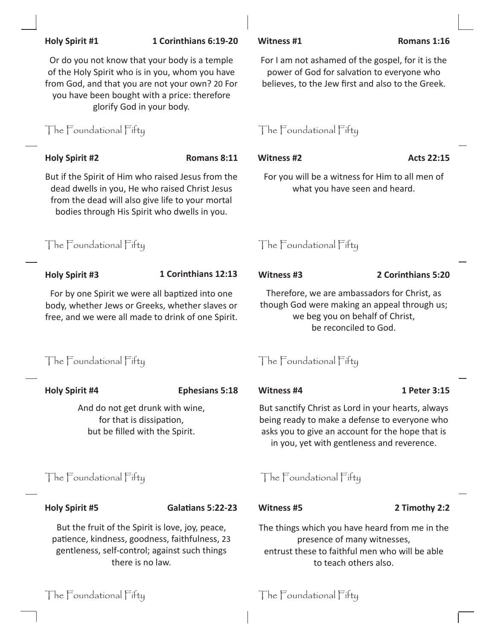| Or do you not know that your body is a temple<br>of the Holy Spirit who is in you, whom you have<br>from God, and that you are not your own? 20 For<br>you have been bought with a price: therefore<br>glorify God in your body. |                          | For I am not ashamed of the gospel, for it is the<br>power of God for salvation to everyone who<br>believes, to the Jew first and also to the Greek.                                                  |                    |  |
|----------------------------------------------------------------------------------------------------------------------------------------------------------------------------------------------------------------------------------|--------------------------|-------------------------------------------------------------------------------------------------------------------------------------------------------------------------------------------------------|--------------------|--|
| The Foundational Fifty                                                                                                                                                                                                           |                          | The Foundational Fifty                                                                                                                                                                                |                    |  |
| <b>Holy Spirit #2</b>                                                                                                                                                                                                            | Romans 8:11              | <b>Witness #2</b>                                                                                                                                                                                     | <b>Acts 22:15</b>  |  |
| But if the Spirit of Him who raised Jesus from the<br>dead dwells in you, He who raised Christ Jesus<br>from the dead will also give life to your mortal<br>bodies through His Spirit who dwells in you.                         |                          | For you will be a witness for Him to all men of<br>what you have seen and heard.                                                                                                                      |                    |  |
| The Foundational Fifty                                                                                                                                                                                                           |                          | The Foundational Fifty                                                                                                                                                                                |                    |  |
| <b>Holy Spirit #3</b>                                                                                                                                                                                                            | 1 Corinthians 12:13      | Witness #3                                                                                                                                                                                            | 2 Corinthians 5:20 |  |
| For by one Spirit we were all baptized into one<br>body, whether Jews or Greeks, whether slaves or<br>free, and we were all made to drink of one Spirit.                                                                         |                          | Therefore, we are ambassadors for Christ, as<br>though God were making an appeal through us;<br>we beg you on behalf of Christ,<br>be reconciled to God.                                              |                    |  |
| The Foundational Fifty                                                                                                                                                                                                           |                          | The Foundational Fifty                                                                                                                                                                                |                    |  |
| <b>Holy Spirit #4</b>                                                                                                                                                                                                            | <b>Ephesians 5:18</b>    | Witness #4                                                                                                                                                                                            | 1 Peter 3:15       |  |
| And do not get drunk with wine,<br>for that is dissipation,<br>but be filled with the Spirit.                                                                                                                                    |                          | But sanctify Christ as Lord in your hearts, always<br>being ready to make a defense to everyone who<br>asks you to give an account for the hope that is<br>in you, yet with gentleness and reverence. |                    |  |
| The Foundational Fifty                                                                                                                                                                                                           |                          | The Foundational Fifty                                                                                                                                                                                |                    |  |
| <b>Holy Spirit #5</b>                                                                                                                                                                                                            | <b>Galatians 5:22-23</b> | <b>Witness #5</b>                                                                                                                                                                                     | 2 Timothy 2:2      |  |
| But the fruit of the Spirit is love, joy, peace,<br>patience, kindness, goodness, faithfulness, 23<br>gentleness, self-control; against such things<br>there is no law.                                                          |                          | The things which you have heard from me in the<br>presence of many witnesses,<br>entrust these to faithful men who will be able<br>to teach others also.                                              |                    |  |

**Holy Spirit #1 1 Corinthians 6:19-20 Witness #1 Romans 1:16**

The Foundational Fifty The Foundational Fifty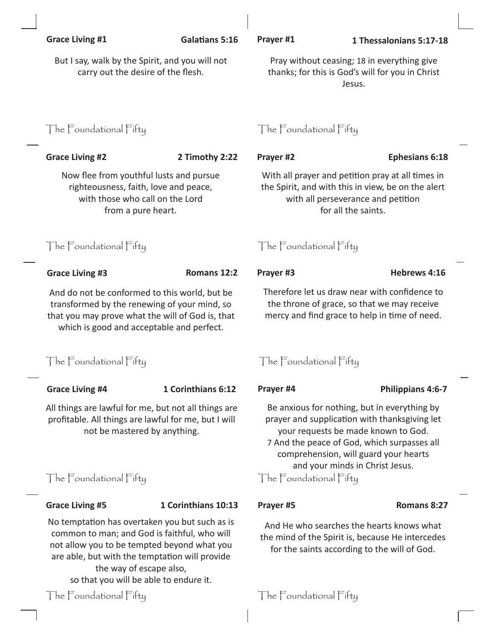| <b>Grace Living #1</b>                                                                                                                                                                         | <b>Galatians 5:16</b> | Prayer #1                                                                                                                                                                                                                                                       | 1 Thessalonians 5:17-18 |  |
|------------------------------------------------------------------------------------------------------------------------------------------------------------------------------------------------|-----------------------|-----------------------------------------------------------------------------------------------------------------------------------------------------------------------------------------------------------------------------------------------------------------|-------------------------|--|
| But I say, walk by the Spirit, and you will not<br>carry out the desire of the flesh.                                                                                                          |                       | Pray without ceasing; 18 in everything give<br>thanks; for this is God's will for you in Christ<br>Jesus.                                                                                                                                                       |                         |  |
| The Foundational Fifty                                                                                                                                                                         |                       | The Foundational Fifty                                                                                                                                                                                                                                          |                         |  |
| <b>Grace Living #2</b>                                                                                                                                                                         | 2 Timothy 2:22        | Prayer #2                                                                                                                                                                                                                                                       | <b>Ephesians 6:18</b>   |  |
| Now flee from youthful lusts and pursue<br>righteousness, faith, love and peace,<br>with those who call on the Lord<br>from a pure heart.                                                      |                       | With all prayer and petition pray at all times in<br>the Spirit, and with this in view, be on the alert<br>with all perseverance and petition<br>for all the saints.                                                                                            |                         |  |
| The Foundational Fifty                                                                                                                                                                         |                       | The Foundational Fifty                                                                                                                                                                                                                                          |                         |  |
| <b>Grace Living #3</b>                                                                                                                                                                         | Romans 12:2           | Prayer #3                                                                                                                                                                                                                                                       | Hebrews 4:16            |  |
| And do not be conformed to this world, but be<br>transformed by the renewing of your mind, so<br>that you may prove what the will of God is, that<br>which is good and acceptable and perfect. |                       | Therefore let us draw near with confidence to<br>the throne of grace, so that we may receive<br>mercy and find grace to help in time of need.                                                                                                                   |                         |  |
| The Foundational Fifty                                                                                                                                                                         |                       | The Foundational Fifty                                                                                                                                                                                                                                          |                         |  |
| <b>Grace Living #4</b>                                                                                                                                                                         | 1 Corinthians 6:12    | Prayer #4                                                                                                                                                                                                                                                       | Philippians 4:6-7       |  |
| All things are lawful for me, but not all things are<br>profitable. All things are lawful for me, but I will<br>not be mastered by anything.                                                   |                       | Be anxious for nothing, but in everything by<br>prayer and supplication with thanksgiving let<br>your requests be made known to God.<br>7 And the peace of God, which surpasses all<br>comprehension, will guard your hearts<br>and your minds in Christ Jesus. |                         |  |
| The Foundational Fifty                                                                                                                                                                         |                       | The Foundational Fifty                                                                                                                                                                                                                                          |                         |  |
| <b>Grace Living #5</b>                                                                                                                                                                         | 1 Corinthians 10:13   | Prayer #5                                                                                                                                                                                                                                                       | Romans 8:27             |  |
| No temptation has overtaken you but such as is<br>common to man; and God is faithful, who will<br>not allow you to be tempted beyond what you                                                  |                       | And He who searches the hearts knows what<br>the mind of the Spirit is, because He intercedes<br>for the saints according to the will of God.                                                                                                                   |                         |  |

the way of escape also, so that you will be able to endure it.

are able, but with the temptation will provide

# The Foundational Fifty The Foundational Fifty